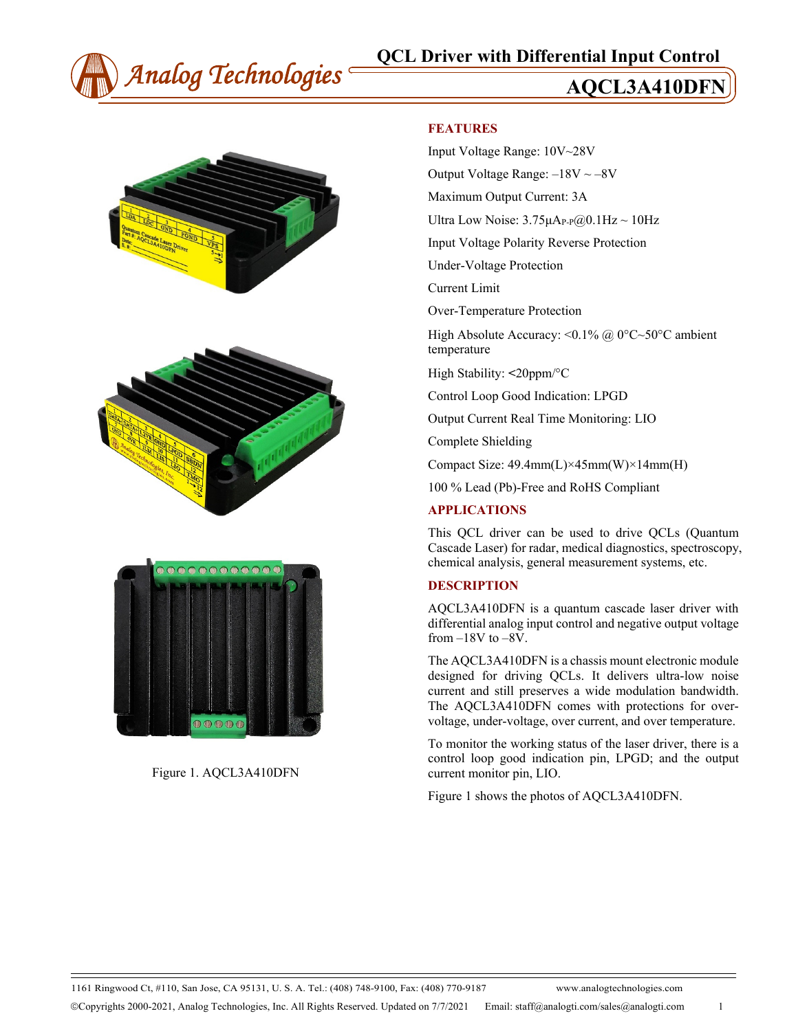







Figure 1. AQCL3A410DFN

#### **FEATURES**

Input Voltage Range: 10V~28V

Output Voltage Range:  $-18V \sim -8V$ 

Maximum Output Current: 3A

Ultra Low Noise:  $3.75 \mu A_{P-P}$ @0.1Hz ~ 10Hz

Input Voltage Polarity Reverse Protection

Under-Voltage Protection

Current Limit

Over-Temperature Protection

High Absolute Accuracy: <0.1% @ 0°C~50°C ambient temperature

High Stability: **<**20ppm/°C

Control Loop Good Indication: LPGD

Output Current Real Time Monitoring: LIO

Complete Shielding

Compact Size: 49.4mm(L)×45mm(W)×14mm(H)

100 % Lead (Pb)-Free and RoHS Compliant

#### **APPLICATIONS**

This QCL driver can be used to drive QCLs (Quantum Cascade Laser) for radar, medical diagnostics, spectroscopy, chemical analysis, general measurement systems, etc.

#### **DESCRIPTION**

AQCL3A410DFN is a quantum cascade laser driver with differential analog input control and negative output voltage from –18V to –8V.

The AQCL3A410DFN is a chassis mount electronic module designed for driving QCLs. It delivers ultra-low noise current and still preserves a wide modulation bandwidth. The AQCL3A410DFN comes with protections for overvoltage, under-voltage, over current, and over temperature.

To monitor the working status of the laser driver, there is a control loop good indication pin, LPGD; and the output current monitor pin, LIO.

Figure 1 shows the photos of AQCL3A410DFN.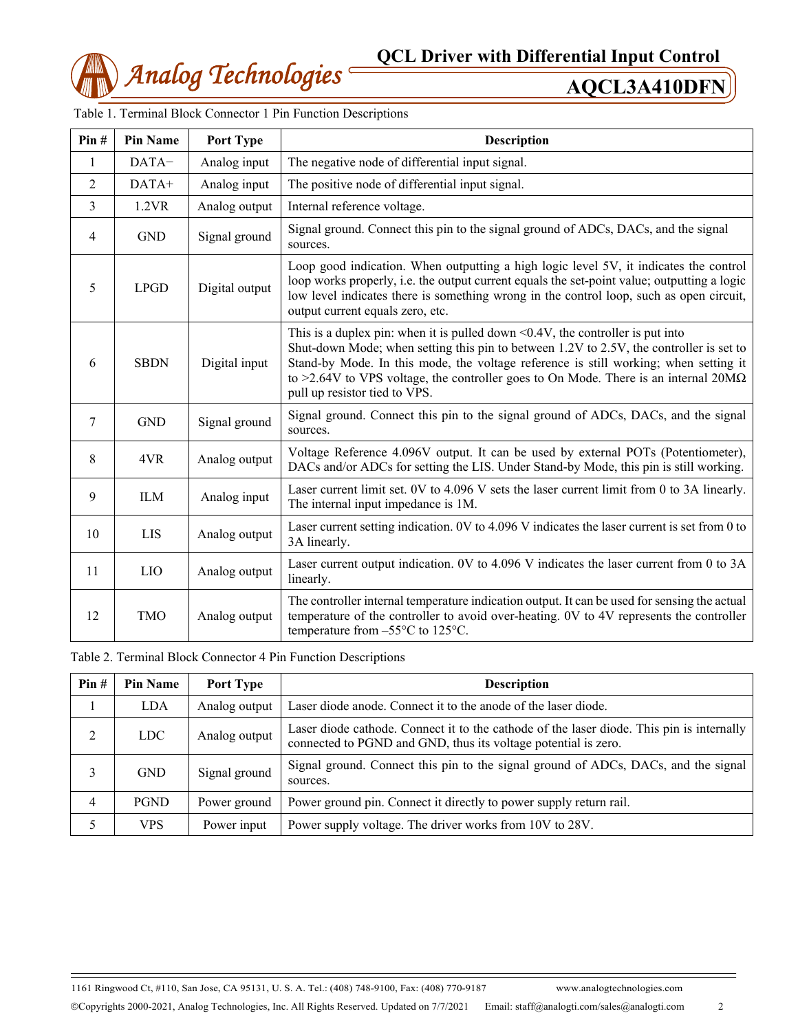

| Pin# | <b>Pin Name</b> | Port Type      | <b>Description</b>                                                                                                                                                                                                                                                                                                                                                                                      |  |
|------|-----------------|----------------|---------------------------------------------------------------------------------------------------------------------------------------------------------------------------------------------------------------------------------------------------------------------------------------------------------------------------------------------------------------------------------------------------------|--|
| 1    | DATA-           | Analog input   | The negative node of differential input signal.                                                                                                                                                                                                                                                                                                                                                         |  |
| 2    | DATA+           | Analog input   | The positive node of differential input signal.                                                                                                                                                                                                                                                                                                                                                         |  |
| 3    | 1.2VR           | Analog output  | Internal reference voltage.                                                                                                                                                                                                                                                                                                                                                                             |  |
| 4    | <b>GND</b>      | Signal ground  | Signal ground. Connect this pin to the signal ground of ADCs, DACs, and the signal<br>sources.                                                                                                                                                                                                                                                                                                          |  |
| 5    | <b>LPGD</b>     | Digital output | Loop good indication. When outputting a high logic level 5V, it indicates the control<br>loop works properly, i.e. the output current equals the set-point value; outputting a logic<br>low level indicates there is something wrong in the control loop, such as open circuit,<br>output current equals zero, etc.                                                                                     |  |
| 6    | <b>SBDN</b>     | Digital input  | This is a duplex pin: when it is pulled down $\leq 0.4V$ , the controller is put into<br>Shut-down Mode; when setting this pin to between 1.2V to 2.5V, the controller is set to<br>Stand-by Mode. In this mode, the voltage reference is still working; when setting it<br>to >2.64V to VPS voltage, the controller goes to On Mode. There is an internal $20M\Omega$<br>pull up resistor tied to VPS. |  |
| 7    | <b>GND</b>      | Signal ground  | Signal ground. Connect this pin to the signal ground of ADCs, DACs, and the signal<br>sources.                                                                                                                                                                                                                                                                                                          |  |
| 8    | 4VR             | Analog output  | Voltage Reference 4.096V output. It can be used by external POTs (Potentiometer),<br>DACs and/or ADCs for setting the LIS. Under Stand-by Mode, this pin is still working.                                                                                                                                                                                                                              |  |
| 9    | <b>ILM</b>      | Analog input   | Laser current limit set. 0V to 4.096 V sets the laser current limit from 0 to 3A linearly.<br>The internal input impedance is 1M.                                                                                                                                                                                                                                                                       |  |
| 10   | <b>LIS</b>      | Analog output  | Laser current setting indication. 0V to 4.096 V indicates the laser current is set from 0 to<br>3A linearly.                                                                                                                                                                                                                                                                                            |  |
| 11   | LIO             | Analog output  | Laser current output indication. 0V to 4.096 V indicates the laser current from 0 to 3A<br>linearly.                                                                                                                                                                                                                                                                                                    |  |
| 12   | <b>TMO</b>      | Analog output  | The controller internal temperature indication output. It can be used for sensing the actual<br>temperature of the controller to avoid over-heating. 0V to 4V represents the controller<br>temperature from $-55^{\circ}$ C to 125 $^{\circ}$ C.                                                                                                                                                        |  |

Table 1. Terminal Block Connector 1 Pin Function Descriptions

Table 2. Terminal Block Connector 4 Pin Function Descriptions

| Pin#           | <b>Pin Name</b> | <b>Port Type</b> | <b>Description</b>                                                                                                                                          |  |
|----------------|-----------------|------------------|-------------------------------------------------------------------------------------------------------------------------------------------------------------|--|
|                | <b>LDA</b>      | Analog output    | Laser diode anode. Connect it to the anode of the laser diode.                                                                                              |  |
| 2              | <b>LDC</b>      | Analog output    | Laser diode cathode. Connect it to the cathode of the laser diode. This pin is internally<br>connected to PGND and GND, thus its voltage potential is zero. |  |
| 3              | <b>GND</b>      | Signal ground    | Signal ground. Connect this pin to the signal ground of ADCs, DACs, and the signal<br>sources.                                                              |  |
| $\overline{4}$ | <b>PGND</b>     | Power ground     | Power ground pin. Connect it directly to power supply return rail.                                                                                          |  |
| 5              | <b>VPS</b>      | Power input      | Power supply voltage. The driver works from 10V to 28V.                                                                                                     |  |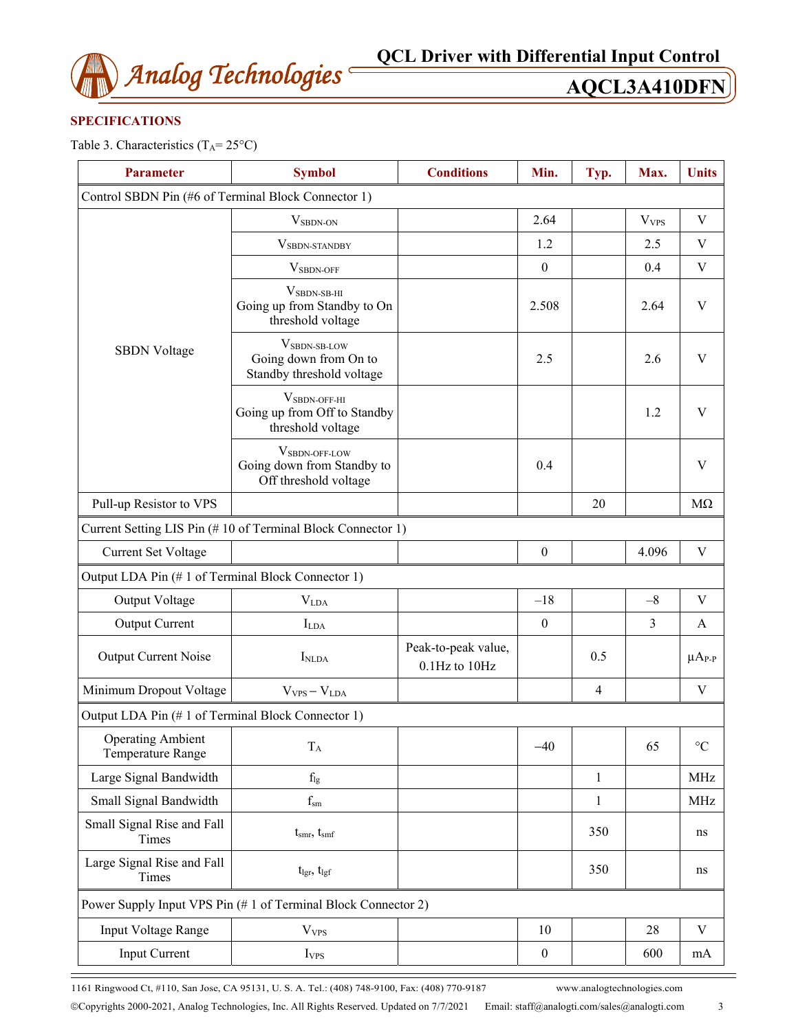

## **SPECIFICATIONS**

Table 3. Characteristics  $(T_A = 25^{\circ}C)$ 

| <b>Parameter</b>                                    | <b>Symbol</b>                                                                    | <b>Conditions</b>                    | Min.             | Typ.         | Max.                    | <b>Units</b>    |
|-----------------------------------------------------|----------------------------------------------------------------------------------|--------------------------------------|------------------|--------------|-------------------------|-----------------|
| Control SBDN Pin (#6 of Terminal Block Connector 1) |                                                                                  |                                      |                  |              |                         |                 |
|                                                     | V <sub>SBDN-ON</sub>                                                             |                                      | 2.64             |              | <b>V</b> <sub>VPS</sub> | $\mathbf V$     |
|                                                     | VSBDN-STANDBY                                                                    |                                      | 1.2              |              | 2.5                     | $\mathbf V$     |
|                                                     | $VSBDN-OFF$                                                                      |                                      | $\boldsymbol{0}$ |              | 0.4                     | $\mathbf V$     |
|                                                     | $V_{SBDN-SB-HI}$<br>Going up from Standby to On<br>threshold voltage             |                                      | 2.508            |              | 2.64                    | $\mathbf V$     |
| <b>SBDN</b> Voltage                                 | VSBDN-SB-LOW<br>Going down from On to<br>Standby threshold voltage               |                                      | 2.5              |              | 2.6                     | V               |
|                                                     | $V_{SBDN-OFF-HI}$<br>Going up from Off to Standby<br>threshold voltage           |                                      |                  |              | 1.2                     | V               |
|                                                     | V <sub>SBDN-OFF-LOW</sub><br>Going down from Standby to<br>Off threshold voltage |                                      | 0.4              |              |                         | $\mathbf V$     |
| Pull-up Resistor to VPS                             |                                                                                  |                                      |                  | 20           |                         | $M\Omega$       |
|                                                     | Current Setting LIS Pin (#10 of Terminal Block Connector 1)                      |                                      |                  |              |                         |                 |
| Current Set Voltage                                 |                                                                                  |                                      | $\boldsymbol{0}$ |              | 4.096                   | $\mathbf V$     |
| Output LDA Pin (#1 of Terminal Block Connector 1)   |                                                                                  |                                      |                  |              |                         |                 |
| Output Voltage                                      | $\rm V_{LDA}$                                                                    |                                      | $-18$            |              | $-8$                    | V               |
| <b>Output Current</b>                               | $I_{LDA}$                                                                        |                                      | $\boldsymbol{0}$ |              | 3                       | $\mathbf{A}$    |
| <b>Output Current Noise</b>                         | I <sub>NLDA</sub>                                                                | Peak-to-peak value,<br>0.1Hz to 10Hz |                  | 0.5          |                         | $\mu A_{P-P}$   |
| Minimum Dropout Voltage                             | $V_{VPS} - V_{LDA}$                                                              |                                      |                  | 4            |                         | V               |
| Output LDA Pin (#1 of Terminal Block Connector 1)   |                                                                                  |                                      |                  |              |                         |                 |
| <b>Operating Ambient</b><br>Temperature Range       | $T_A$                                                                            |                                      | $-40$            |              | 65                      | $\rm ^{\circ}C$ |
| Large Signal Bandwidth                              | $f_{lg}$                                                                         |                                      |                  | $\mathbf{1}$ |                         | MHz             |
| Small Signal Bandwidth                              | $f_{\rm sm}$                                                                     |                                      |                  | $\mathbf{1}$ |                         | <b>MHz</b>      |
| Small Signal Rise and Fall<br>Times                 | $t_{smr}$ , $t_{smf}$                                                            |                                      |                  | 350          |                         | ns              |
| Large Signal Rise and Fall<br>Times                 | $t_{\rm lgr}$ , $t_{\rm lgf}$                                                    |                                      |                  | 350          |                         | ns              |
|                                                     | Power Supply Input VPS Pin (#1 of Terminal Block Connector 2)                    |                                      |                  |              |                         |                 |
| Input Voltage Range                                 | <b>V</b> <sub>VPS</sub>                                                          |                                      | 10               |              | 28                      | V               |
| <b>Input Current</b>                                | I <sub>VPS</sub>                                                                 |                                      | $\boldsymbol{0}$ |              | 600                     | mA              |
|                                                     |                                                                                  |                                      |                  |              |                         |                 |

1161 Ringwood Ct, #110, San Jose, CA 95131, U. S. A. Tel.: (408) 748-9100, Fax: (408) 770-9187 www.analogtechnologies.com Copyrights 2000-2021, Analog Technologies, Inc. All Rights Reserved. Updated on 7/7/2021 Email: staff@analogti.com/sales@analogti.com 3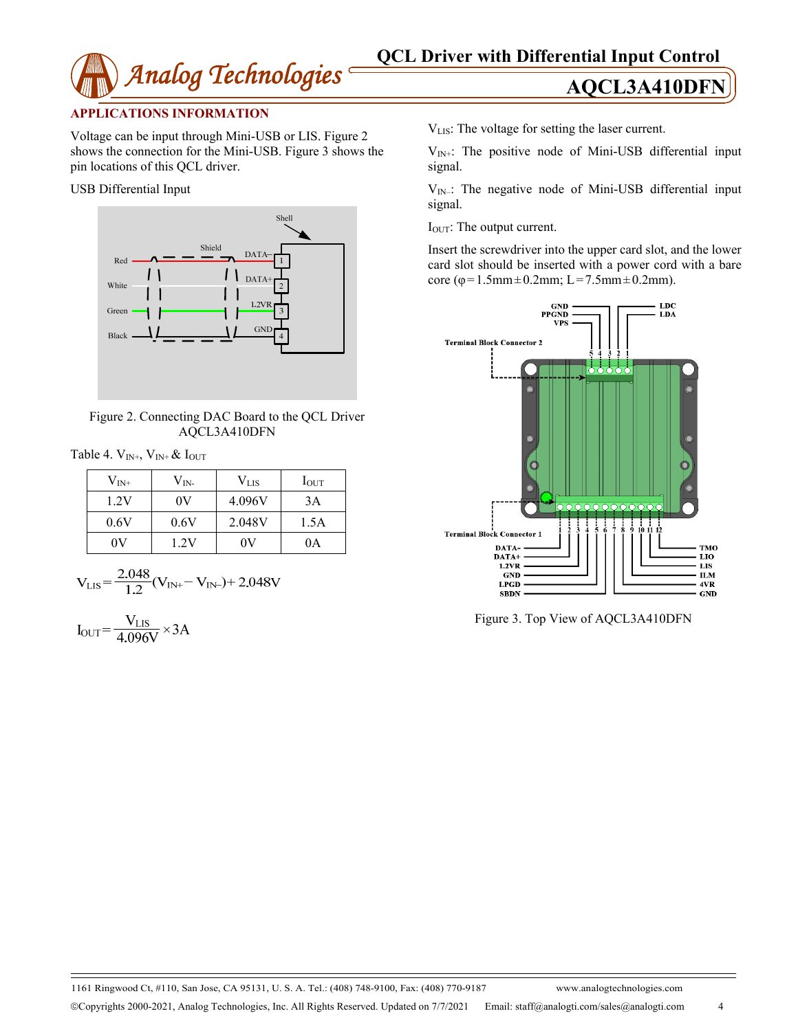

### **APPLICATIONS INFORMATION**

Voltage can be input through Mini-USB or LIS. Figure 2 shows the connection for the Mini-USB. Figure 3 shows the pin locations of this QCL driver.

USB Differential Input



Figure 2. Connecting DAC Board to the QCL Driver AQCL3A410DFN

Table 4.  $V_{IN^+}$ ,  $V_{IN^+}$  &  $I_{OUT}$ 

| $\rm V_{\rm IN^+}$ | $\rm V_{IN}$ | $V_{\rm{LIS}}$ | $I_{\text{OUT}}$ |
|--------------------|--------------|----------------|------------------|
| 1.2V               | 0V           | 4.096V         | 3A               |
| 0.6V               | 0.6V         | 2.048V         | 1.5A             |
| 0V                 | 1.2V         | 0V             | 0A               |

$$
V_{LIS} = \frac{2.048}{1.2} (V_{IN+} - V_{IN-}) + 2.048V
$$

$$
I_{OUT} = \frac{V_{LIS}}{4.096V} \times 3A
$$

VLIS: The voltage for setting the laser current.

 $V_{IN+}$ : The positive node of Mini-USB differential input signal.

 $V_{IN}$ .: The negative node of Mini-USB differential input signal.

IOUT: The output current.

Insert the screwdriver into the upper card slot, and the lower card slot should be inserted with a power cord with a bare core (φ=1.5mm±0.2mm; L=7.5mm±0.2mm).



Figure 3. Top View of AQCL3A410DFN